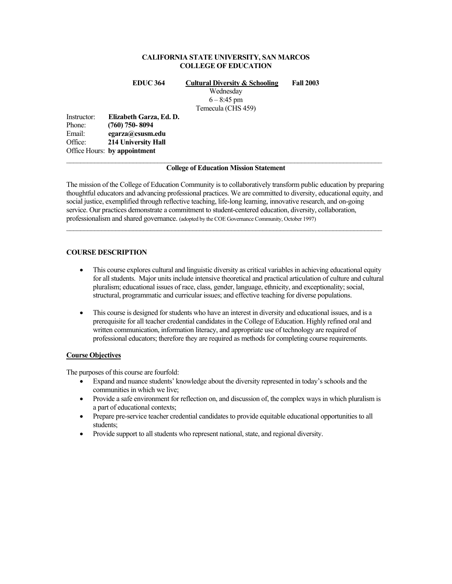## **CALIFORNIA STATE UNIVERSITY, SAN MARCOS COLLEGE OF EDUCATION**

**EDUC 364 Cultural Diversity & Schooling Fall 2003** 

Wednesday  $6 - 8:45$  pm

Temecula (CHS 459)

Instructor: **Elizabeth Garza, Ed. D.**  Phone: **(760) 750- 8094**  Email: **egarza@csusm.edu** Office: **214 University Hall**  Office Hours: **by appointment**

### $\mathcal{L}_\mathcal{L} = \{ \mathcal{L}_\mathcal{L} = \{ \mathcal{L}_\mathcal{L} = \{ \mathcal{L}_\mathcal{L} = \{ \mathcal{L}_\mathcal{L} = \{ \mathcal{L}_\mathcal{L} = \{ \mathcal{L}_\mathcal{L} = \{ \mathcal{L}_\mathcal{L} = \{ \mathcal{L}_\mathcal{L} = \{ \mathcal{L}_\mathcal{L} = \{ \mathcal{L}_\mathcal{L} = \{ \mathcal{L}_\mathcal{L} = \{ \mathcal{L}_\mathcal{L} = \{ \mathcal{L}_\mathcal{L} = \{ \mathcal{L}_\mathcal{$ **College of Education Mission Statement**

The mission of the College of Education Community is to collaboratively transform public education by preparing thoughtful educators and advancing professional practices. We are committed to diversity, educational equity, and social justice, exemplified through reflective teaching, life-long learning, innovative research, and on-going service. Our practices demonstrate a commitment to student-centered education, diversity, collaboration, professionalism and shared governance. (adopted by the COE Governance Community, October 1997)

# **COURSE DESCRIPTION**

- This course explores cultural and linguistic diversity as critical variables in achieving educational equity for all students. Major units include intensive theoretical and practical articulation of culture and cultural pluralism; educational issues of race, class, gender, language, ethnicity, and exceptionality; social, structural, programmatic and curricular issues; and effective teaching for diverse populations.
- This course is designed for students who have an interest in diversity and educational issues, and is a prerequisite for all teacher credential candidates in the College of Education. Highly refined oral and written communication, information literacy, and appropriate use of technology are required of professional educators; therefore they are required as methods for completing course requirements.

## **Course Objectives**

The purposes of this course are fourfold:

- Expand and nuance students' knowledge about the diversity represented in today's schools and the communities in which we live;
- Provide a safe environment for reflection on, and discussion of, the complex ways in which pluralism is a part of educational contexts;
- Prepare pre-service teacher credential candidates to provide equitable educational opportunities to all students;
- Provide support to all students who represent national, state, and regional diversity.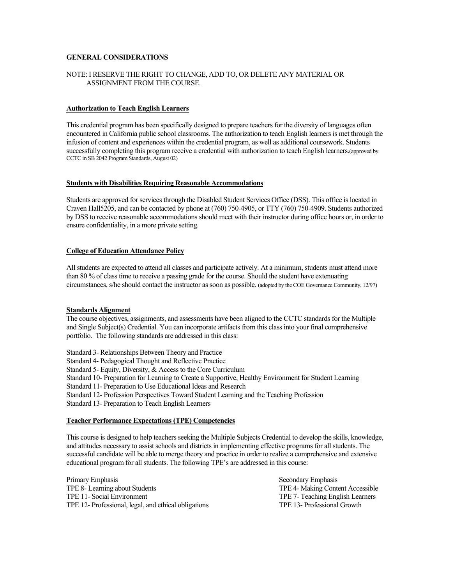## **GENERAL CONSIDERATIONS**

## NOTE: I RESERVE THE RIGHT TO CHANGE, ADD TO, OR DELETE ANY MATERIAL OR ASSIGNMENT FROM THE COURSE.

## **Authorization to Teach English Learners**

This credential program has been specifically designed to prepare teachers for the diversity of languages often encountered in California public school classrooms. The authorization to teach English learners is met through the infusion of content and experiences within the credential program, as well as additional coursework. Students successfully completing this program receive a credential with authorization to teach English learners.(approved by CCTC in SB 2042 Program Standards, August 02)

### **Students with Disabilities Requiring Reasonable Accommodations**

Students are approved for services through the Disabled Student Services Office (DSS). This office is located in Craven Hall5205, and can be contacted by phone at (760) 750-4905, or TTY (760) 750-4909. Students authorized by DSS to receive reasonable accommodations should meet with their instructor during office hours or, in order to ensure confidentiality, in a more private setting.

## **College of Education Attendance Policy**

All students are expected to attend all classes and participate actively. At a minimum, students must attend more than 80 % of class time to receive a passing grade for the course. Should the student have extenuating circumstances, s/he should contact the instructor as soon as possible. (adopted by the COE Governance Community, 12/97)

## **Standards Alignment**

The course objectives, assignments, and assessments have been aligned to the CCTC standards for the Multiple and Single Subject(s) Credential. You can incorporate artifacts from this class into your final comprehensive portfolio. The following standards are addressed in this class:

Standard 3- Relationships Between Theory and Practice

Standard 4- Pedagogical Thought and Reflective Practice

Standard 5- Equity, Diversity, & Access to the Core Curriculum

Standard 10- Preparation for Learning to Create a Supportive, Healthy Environment for Student Learning

Standard 11- Preparation to Use Educational Ideas and Research

Standard 12- Profession Perspectives Toward Student Learning and the Teaching Profession

Standard 13- Preparation to Teach English Learners

### **Teacher Performance Expectations (TPE) Competencies**

This course is designed to help teachers seeking the Multiple Subjects Credential to develop the skills, knowledge, and attitudes necessary to assist schools and districts in implementing effective programs for all students. The successful candidate will be able to merge theory and practice in order to realize a comprehensive and extensive educational program for all students. The following TPE's are addressed in this course:

Primary Emphasis Secondary Emphasis Secondary Emphasis Secondary Emphasis TPE 8- Learning about Students TPE 4- Making Content Accessible TPE 11- Social Environment TPE 7- Teaching English Learners TPE 12- Professional, legal, and ethical obligations TPE 13- Professional Growth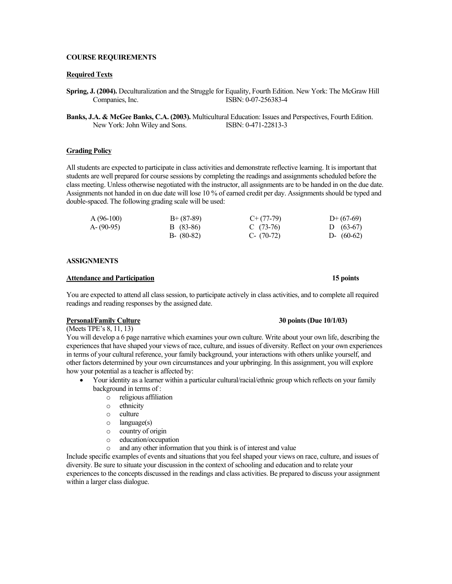## **COURSE REQUIREMENTS**

#### **Required Texts**

- **Spring, J. (2004).** Deculturalization and the Struggle for Equality, Fourth Edition. New York: The McGraw Hill Companies, Inc. **ISBN: 0-07-256383-4**
- **Banks, J.A. & McGee Banks, C.A. (2003).** Multicultural Education: Issues and Perspectives, Fourth Edition. New York: John Wiley and Sons. ISBN: 0-471-22813-3

#### **Grading Policy**

All students are expected to participate in class activities and demonstrate reflective learning. It is important that students are well prepared for course sessions by completing the readings and assignments scheduled before the class meeting. Unless otherwise negotiated with the instructor, all assignments are to be handed in on the due date. Assignments not handed in on due date will lose 10 % of earned credit per day. Assignments should be typed and double-spaced. The following grading scale will be used:

| $A(96-100)$ | $B+ (87-89)$  | $C+(77-79)$  | $D+(67-69)$  |
|-------------|---------------|--------------|--------------|
| $A-(90-95)$ | B (83-86)     | C $(73-76)$  | D $(63-67)$  |
|             | $B - (80-82)$ | $C- (70-72)$ | D- $(60-62)$ |

#### **ASSIGNMENTS**

#### **Attendance and Participation 15 points**

You are expected to attend all class session, to participate actively in class activities, and to complete all required readings and reading responses by the assigned date.

(Meets TPE's 8, 11, 13) You will develop a 6 page narrative which examines your own culture. Write about your own life, describing the experiences that have shaped your views of race, culture, and issues of diversity. Reflect on your own experiences in terms of your cultural reference, your family background, your interactions with others unlike yourself, and other factors determined by your own circumstances and your upbringing. In this assignment, you will explore how your potential as a teacher is affected by:

- Your identity as a learner within a particular cultural/racial/ethnic group which reflects on your family background in terms of :
	- o religious affiliation
	- ethnicity
	- o culture
	- o language(s)
	- o country of origin
	- o education/occupation
	- o and any other information that you think is of interest and value

Include specific examples of events and situations that you feel shaped your views on race, culture, and issues of diversity. Be sure to situate your discussion in the context of schooling and education and to relate your experiences to the concepts discussed in the readings and class activities. Be prepared to discuss your assignment within a larger class dialogue.

## **Personal/Family Culture 30 points (Due 10/1/03)**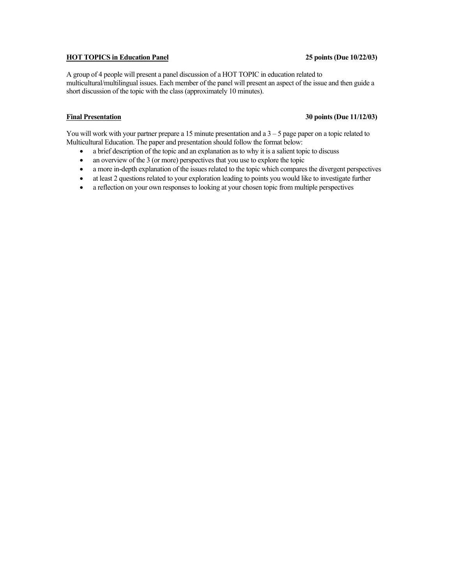# **HOT TOPICS in Education Panel 25 points (Due 10/22/03)**

A group of 4 people will present a panel discussion of a HOT TOPIC in education related to multicultural/multilingual issues. Each member of the panel will present an aspect of the issue and then guide a short discussion of the topic with the class (approximately 10 minutes).

# **Final Presentation 30 points (Due 11/12/03)**

You will work with your partner prepare a 15 minute presentation and a  $3 - 5$  page paper on a topic related to Multicultural Education. The paper and presentation should follow the format below:

- a brief description of the topic and an explanation as to why it is a salient topic to discuss
- an overview of the 3 (or more) perspectives that you use to explore the topic
- a more in-depth explanation of the issues related to the topic which compares the divergent perspectives
- at least 2 questions related to your exploration leading to points you would like to investigate further
- a reflection on your own responses to looking at your chosen topic from multiple perspectives